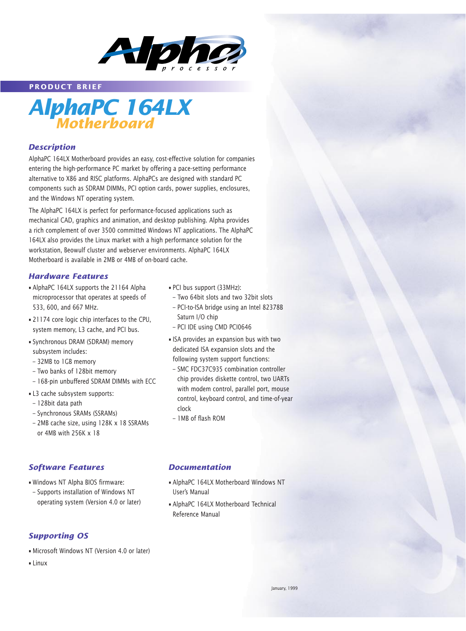

**PRODUCT BRIEF**



### *Description*

AlphaPC 164LX Motherboard provides an easy, cost-effective solution for companies entering the high-performance PC market by offering a pace-setting performance alternative to X86 and RISC platforms. AlphaPCs are designed with standard PC components such as SDRAM DIMMs, PCI option cards, power supplies, enclosures, and the Windows NT operating system.

The AlphaPC 164LX is perfect for performance-focused applications such as mechanical CAD, graphics and animation, and desktop publishing. Alpha provides a rich complement of over 3500 committed Windows NT applications. The AlphaPC 164LX also provides the Linux market with a high performance solution for the workstation, Beowulf cluster and webserver environments. AlphaPC 164LX Motherboard is available in 2MB or 4MB of on-board cache.

#### *Hardware Features*

- AlphaPC 164LX supports the 21164 Alpha microprocessor that operates at speeds of 533, 600, and 667 MHz.
- 21174 core logic chip interfaces to the CPU, system memory, L3 cache, and PCI bus.
- Synchronous DRAM (SDRAM) memory subsystem includes:
- 32MB to 1GB memory
- Two banks of 128bit memory
- 168-pin unbuffered SDRAM DIMMs with ECC
- L3 cache subsystem supports:
- 128bit data path
- Synchronous SRAMs (SSRAMs)
- 2MB cache size, using 128K x 18 SSRAMs or 4MB with 256K x 18

## *Software Features*

- Windows NT Alpha BIOS firmware:
- Supports installation of Windows NT operating system (Version 4.0 or later)

## *Supporting OS*

- Microsoft Windows NT (Version 4.0 or later)
- Linux
- PCI bus support (33MHz):
- Two 64bit slots and two 32bit slots
- PCI-to-ISA bridge using an Intel 82378B Saturn I/O chip
- PCI IDE using CMD PCI0646
- ISA provides an expansion bus with two dedicated ISA expansion slots and the following system support functions:
- SMC FDC37C935 combination controller chip provides diskette control, two UARTs with modem control, parallel port, mouse control, keyboard control, and time-of-year clock
- 1MB of flash ROM

### *Documentation*

- AlphaPC 164LX Motherboard Windows NT User's Manual
- AlphaPC 164LX Motherboard Technical Reference Manual